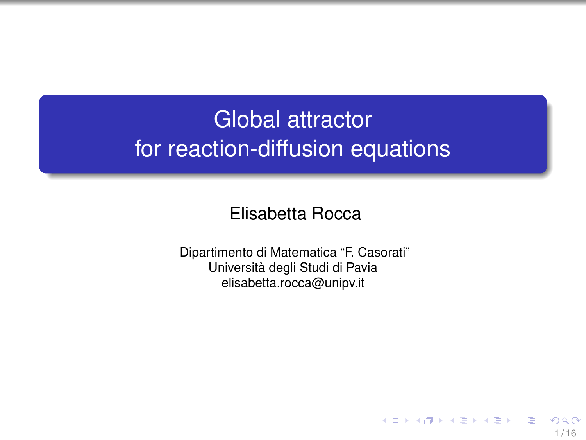# <span id="page-0-0"></span>Global attractor for reaction-diffusion equations

#### Elisabetta Rocca

Dipartimento di Matematica "F. Casorati" Università degli Studi di Pavia elisabetta.rocca@unipv.it

1 / 16

E

イロト イ団 トイ ヨ トイ ヨ トー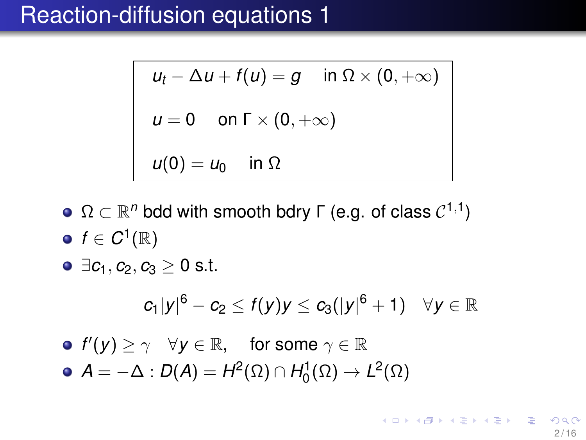$$
u_t - \Delta u + f(u) = g \quad \text{in } \Omega \times (0, +\infty)
$$
  

$$
u = 0 \quad \text{on } \Gamma \times (0, +\infty)
$$
  

$$
u(0) = u_0 \quad \text{in } \Omega
$$

- $\Omega \subset \mathbb{R}^n$  bdd with smooth bdry Γ (e.g. of class  $\mathcal{C}^{1,1})$  $f \in C^1(\mathbb{R})$
- $\bullet \exists c_1, c_2, c_3 \geq 0$  s.t.

$$
c_1|y|^6-c_2\leq f(y)y\leq c_3(|y|^6+1)\quad\forall y\in\mathbb{R}
$$

 $f'(y) \ge \gamma \quad \forall y \in \mathbb{R}, \quad \text{ for some } \gamma \in \mathbb{R}$  $\mathcal{A}=-\Delta:\mathcal{D}(\mathcal{A})=\mathcal{H}^2(\Omega)\cap\mathcal{H}^1_0(\Omega)\rightarrow\mathcal{L}^2(\Omega)$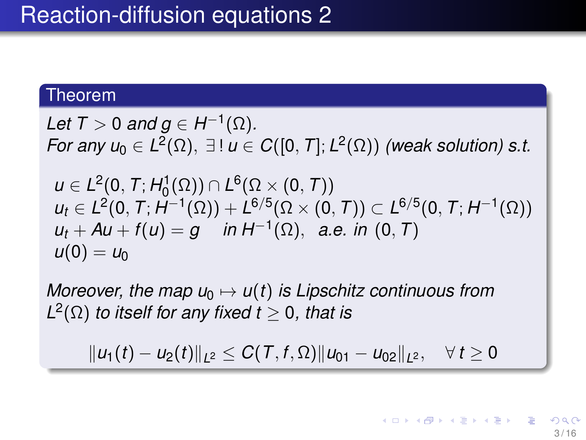#### Theorem

Let  $T > 0$  and  $g \in H^{-1}(\Omega)$ . *For any*  $u_0 \in L^2(\Omega)$ *,*  $\exists$ !  $u \in C([0, T]; L^2(\Omega))$  *(weak solution) s.t.*  $u \in L^2(0, T; H_0^1(\Omega)) \cap L^6(\Omega \times (0, T))$  $u_t \in L^2(0, T; H^{-1}(\Omega)) + L^{6/5}(\Omega \times (0, T)) \subset L^{6/5}(0, T; H^{-1}(\Omega))$  $u_t + Au + f(u) = g$  *in*  $H^{-1}(\Omega)$ , *a.e. in*  $(0, T)$  $u(0) = u_0$ 

*Moreover, the map*  $u_0 \mapsto u(t)$  *is Lipschitz continuous from*  $L^2(\Omega)$  *to itself for any fixed t*  $\geq$  0*, that is* 

 $||u_1(t) - u_2(t)||_{L^2} \leq C(T, f, \Omega) ||u_{01} - u_{02}||_{L^2}, \quad \forall t \geq 0$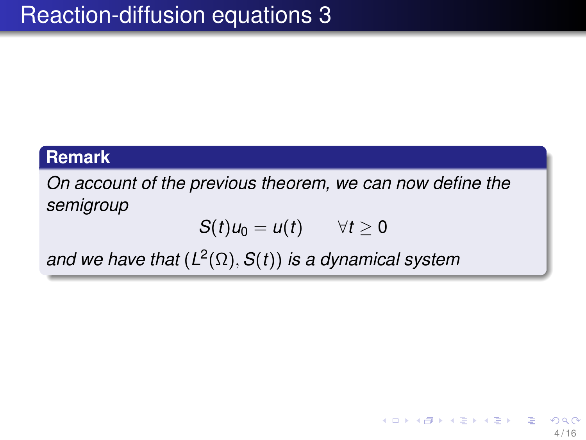#### **Remark**

*On account of the previous theorem, we can now define the semigroup*

$$
S(t)u_0=u(t)\qquad \forall t\geq 0
$$

*and we have that* (*L* 2 (Ω), *S*(*t*)) *is a dynamical system*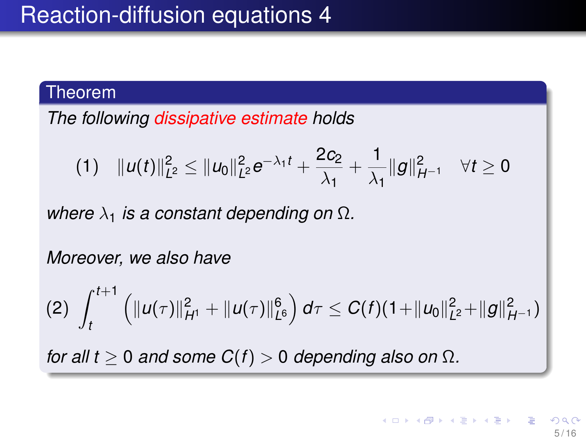#### Theorem

*The following dissipative estimate holds*

$$
(1) \quad \|u(t)\|_{L^2}^2 \leq \|u_0\|_{L^2}^2 e^{-\lambda_1 t} + \frac{2c_2}{\lambda_1} + \frac{1}{\lambda_1} \|g\|_{H^{-1}}^2 \quad \forall t \geq 0
$$

*where*  $\lambda_1$  *is a constant depending on*  $\Omega$ *.* 

*Moreover, we also have*

$$
(2)\ \int_t^{t+1}\left(\|u(\tau)\|_{H^1}^2+\|u(\tau)\|_{L^6}^6\right)d\tau\leq C(t)(1+\|u_0\|_{L^2}^2+\|g\|_{H^{-1}}^2)
$$

*for all t*  $\geq$  0 *and some C(f)*  $>$  0 *depending also on*  $\Omega$ *.*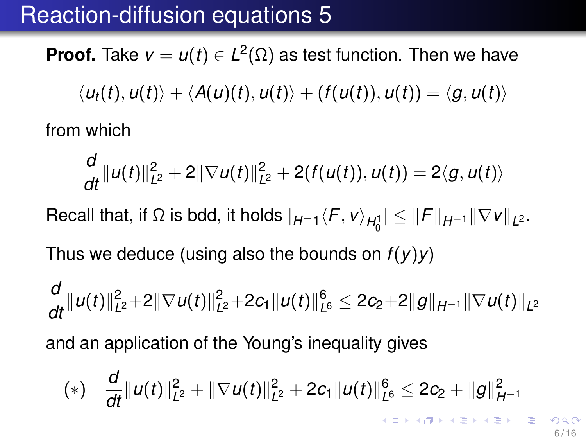**Proof.** Take  $v = u(t) \in L^2(\Omega)$  as test function. Then we have

$$
\langle u_t(t), u(t) \rangle + \langle A(u)(t), u(t) \rangle + (f(u(t)), u(t)) = \langle g, u(t) \rangle
$$

from which

$$
\frac{d}{dt}||u(t)||_{L^2}^2 + 2||\nabla u(t)||_{L^2}^2 + 2(f(u(t)), u(t)) = 2\langle g, u(t) \rangle
$$

 $\sf{Recall}$  that, if Ω is bdd, it holds  $|_{H^{-1}}\langle F,$  *v*) $_{H^1_0}| ≤$   $\|F\|_{H^{-1}}$  $\|\nabla$ *v*  $\|_{L^2}.$ 

Thus we deduce (using also the bounds on *f*(*y*)*y*)

$$
\frac{d}{dt} ||u(t)||_{L^2}^2 + 2||\nabla u(t)||_{L^2}^2 + 2c_1 ||u(t)||_{L^6}^6 \leq 2c_2 + 2||g||_{H^{-1}} ||\nabla u(t)||_{L^2}
$$
\nand an application of the Young's inequality gives

$$
(*)\quad \frac{d}{dt}\|u(t)\|_{L^2}^2+\|\nabla u(t)\|_{L^2}^2+2c_1\|u(t)\|_{L^6}^6\leq 2c_2+\|g\|_{H^{-1}}^2
$$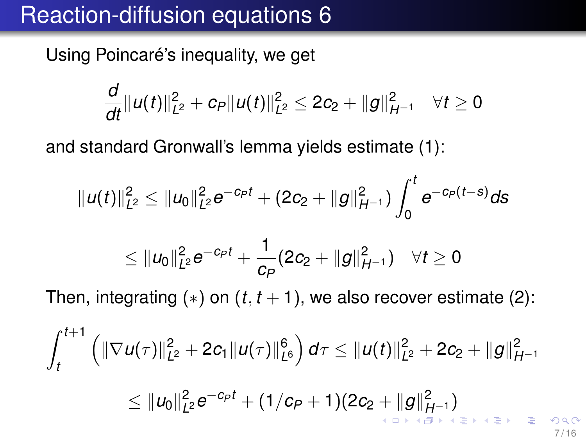<span id="page-6-0"></span>Using Poincaré's inequality, we get

$$
\frac{d}{dt}\|u(t)\|_{L^2}^2+c_P\|u(t)\|_{L^2}^2\leq 2c_2+\|g\|_{H^{-1}}^2\quad \forall t\geq 0
$$

and standard Gronwall's lemma yields estimate (1):

$$
||u(t)||_{L^2}^2 \leq ||u_0||_{L^2}^2 e^{-c_P t} + (2c_2 + ||g||_{H^{-1}}^2) \int_0^t e^{-c_P (t-s)} ds
$$

$$
\leq \|u_0\|_{L^2}^2e^{-c_Pt}+\frac{1}{c_P}(2c_2+\|g\|_{H^{-1}}^2)\quad \forall t\geq 0
$$

Then, integrating  $(*)$  on  $(t, t + 1)$ , we also recover estimate  $(2)$ :

$$
\int_{t}^{t+1} \left( \|\nabla u(\tau)\|^{2}_{L^{2}} + 2c_{1} \|u(\tau)\|^{6}_{L^{6}} \right) d\tau \leq \|u(t)\|^{2}_{L^{2}} + 2c_{2} + \|g\|^{2}_{H^{-1}} \leq \|u_{0}\|^{2}_{L^{2}} e^{-c_{P}t} + (1/c_{P} + 1)(2c_{2} + \|g\|^{2}_{H^{-1}})
$$

7 / 16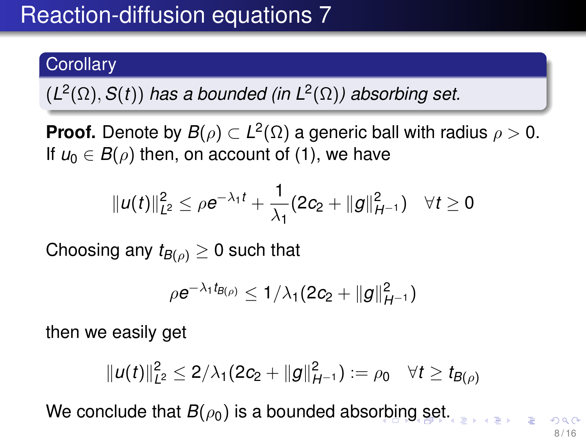### <span id="page-7-0"></span>**Corollary**

 $(L^2(\Omega), S(t))$  has a bounded (in  $L^2(\Omega)$ ) absorbing set.

**Proof.** Denote by  $B(\rho) \subset L^2(\Omega)$  a generic ball with radius  $\rho > 0$ . If  $u_0 \in B(\rho)$  then, on account of (1), we have

$$
||u(t)||_{L^2}^2 \leq \rho e^{-\lambda_1 t} + \frac{1}{\lambda_1} (2c_2 + ||g||_{H^{-1}}^2) \quad \forall t \geq 0
$$

Choosing any  $t_{B(\rho)} \geq 0$  such that

$$
\rho e^{-\lambda_1 t_{B(\rho)}} \leq 1/\lambda_1(2c_2 + \|g\|_{H^{-1}}^2)
$$

then we easily get

$$
||u(t)||_{L^2}^2 \leq 2/\lambda_1(2c_2 + ||g||_{H^{-1}}^2) := \rho_0 \quad \forall t \geq t_{B(\rho)}
$$

We co[n](#page-8-0)clude [t](#page-8-0)hat  $B(\rho_0)$  is a bounded abs[orb](#page-6-0)in[g](#page-6-0) [se](#page-7-0)t[.](#page-0-0)

8 / 16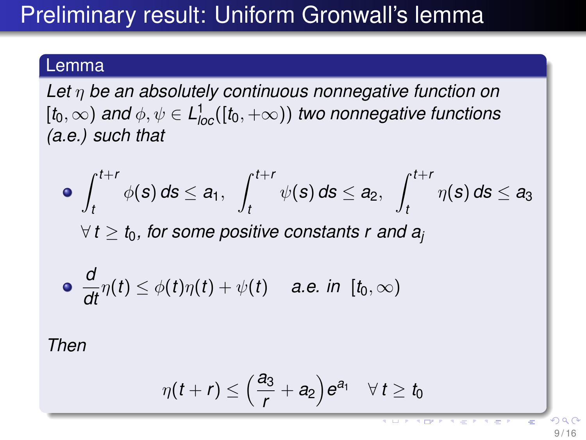# <span id="page-8-0"></span>Preliminary result: Uniform Gronwall's lemma

### Lemma

*Let* η *be an absolutely continuous nonnegative function on*  $\left[t_0, \infty \right)$  and  $\phi, \psi \in L^1_{loc}([t_0, +\infty))$  two nonnegative functions *(a.e.) such that*

\n- \n
$$
\int_{t}^{t+r} \phi(s) \, ds \leq a_1, \quad\n \int_{t}^{t+r} \psi(s) \, ds \leq a_2, \quad\n \int_{t}^{t+r} \eta(s) \, ds \leq a_3
$$
\n
$$
\forall \, t \geq t_0, \text{ for some positive constants } r \text{ and } a_j
$$
\n
\n- \n
$$
\frac{d}{dt} \eta(t) \leq \phi(t) \eta(t) + \psi(t) \quad \text{ a.e. in } [t_0, \infty)
$$
\n
\n

*Then*

$$
\eta(t+r) \leq \left(\frac{a_3}{r}+a_2\right)e^{a_1} \quad \forall\, t \geq t_0
$$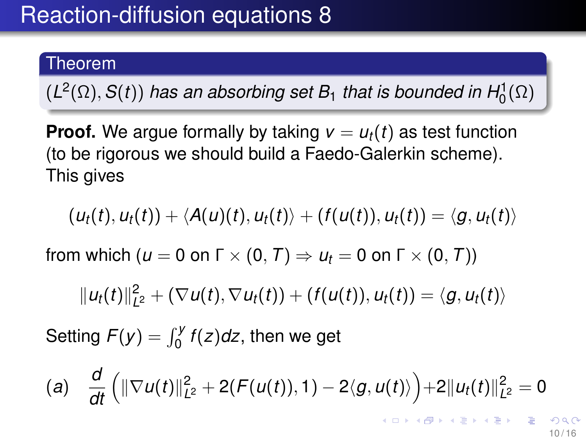### Theorem

 $(L^2(\Omega), S(t))$  *has an absorbing set B*<sub>1</sub> *that is bounded in H*<sup>1</sup><sub>0</sub> $(\Omega)$ 

**Proof.** We argue formally by taking  $v = u_t(t)$  as test function (to be rigorous we should build a Faedo-Galerkin scheme). This gives

$$
(u_t(t),u_t(t)) + \langle A(u)(t),u_t(t) \rangle + (f(u(t)),u_t(t)) = \langle g, u_t(t) \rangle
$$

from which ( $u = 0$  on  $\Gamma \times (0, T) \Rightarrow u_t = 0$  on  $\Gamma \times (0, T)$ )

$$
||u_t(t)||_{L^2}^2 + (\nabla u(t), \nabla u_t(t)) + (f(u(t)), u_t(t)) = \langle g, u_t(t) \rangle
$$

Setting  $F(y) = \int_0^y f(z) dz$ , then we get

(a) 
$$
\frac{d}{dt} \left( \|\nabla u(t)\|_{L^2}^2 + 2(F(u(t)), 1) - 2\langle g, u(t) \rangle \right) + 2\|u_t(t)\|_{L^2}^2 = 0
$$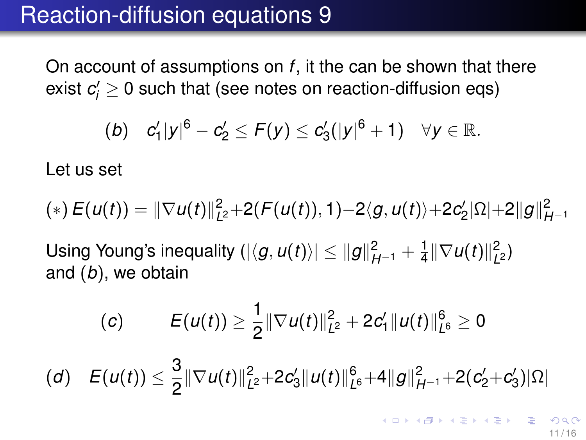On account of assumptions on *f*, it the can be shown that there exist  $c_i^\prime \geq 0$  such that (see notes on reaction-diffusion eqs)

(b) 
$$
c'_1|y|^6-c'_2 \le F(y) \le c'_3(|y|^6+1) \quad \forall y \in \mathbb{R}
$$
.

Let us set

$$
(*) E(u(t)) = ||\nabla u(t)||_{L^2}^2 + 2(F(u(t)), 1) - 2\langle g, u(t) \rangle + 2c_2'|\Omega| + 2||g||_{H^{-1}}^2
$$

Using Young's inequality  $(|\langle g, u(t) \rangle| \leq ||g||^2_{H^{-1}} + \frac{1}{4}$  $\frac{1}{4} \|\nabla u(t)\|_{L}^2$ *L* 2 ) and (*b*), we obtain

(c) 
$$
E(u(t)) \geq \frac{1}{2} \|\nabla u(t)\|_{L^2}^2 + 2c_1' \|u(t)\|_{L^6}^6 \geq 0
$$
  
(d) 
$$
E(u(t)) \leq \frac{3}{2} \|\nabla u(t)\|_{L^2}^2 + 2c_3' \|u(t)\|_{L^6}^6 + 4\|g\|_{H^{-1}}^2 + 2(c_2' + c_3')|\Omega|
$$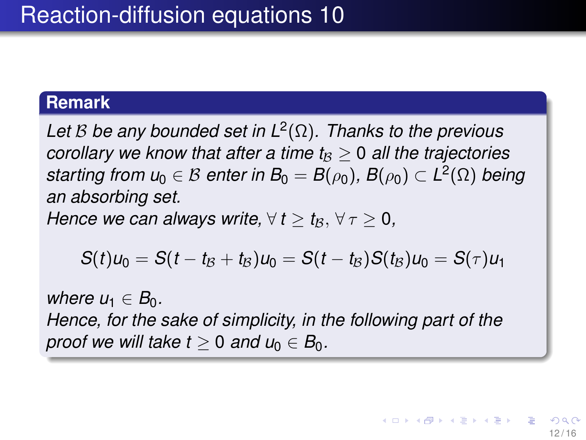#### **Remark**

*Let* B *be any bounded set in L*<sup>2</sup> (Ω)*. Thanks to the previous corollary we know that after a time*  $t_B$  *> 0 all the trajectories*  $\mathcal{L}$  *starting from*  $u_0 \in \mathcal{B}$  *enter in*  $B_0 = B(\rho_0), \, B(\rho_0) \subset L^2(\Omega)$  *being an absorbing set.*

*Hence we can always write,*  $\forall t \geq t_{\mathcal{B}}, \forall \tau \geq 0$ ,

$$
S(t)u_0=S(t-t_\mathcal{B}+t_\mathcal{B})u_0=S(t-t_\mathcal{B})S(t_\mathcal{B})u_0=S(\tau)u_1
$$

*where*  $u_1 \in B_0$ .

*Hence, for the sake of simplicity, in the following part of the proof we will take t*  $> 0$  *and u*<sub>0</sub>  $\in$  *B*<sub>0</sub>*.*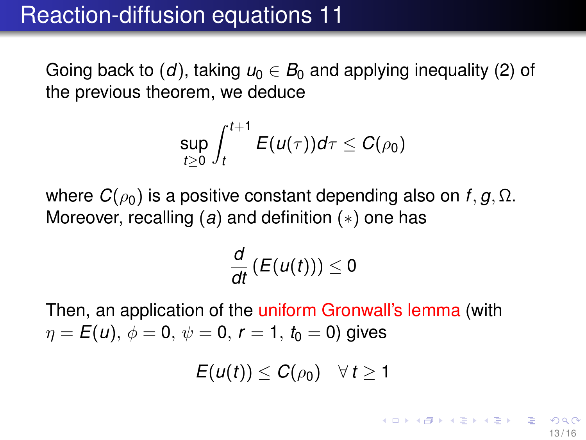Going back to  $(d)$ , taking  $u_0 \in B_0$  and applying inequality  $(2)$  of the previous theorem, we deduce

$$
\sup_{t\geq 0}\int_{t}^{t+1}E(u(\tau))d\tau\leq C(\rho_0)
$$

where  $C(\rho_0)$  is a positive constant depending also on *f*, *g*, Ω. Moreover, recalling (*a*) and definition (∗) one has

$$
\frac{d}{dt}\left(E(u(t))\right)\leq 0
$$

Then, an application of the uniform Gronwall's lemma (with  $\eta = E(u), \phi = 0, \psi = 0, r = 1, t_0 = 0$ ) gives

 $E(u(t)) \leq C(\rho_0) \quad \forall t \geq 1$ 

イロメ イ母メ イミメ イミメー ヨー のなく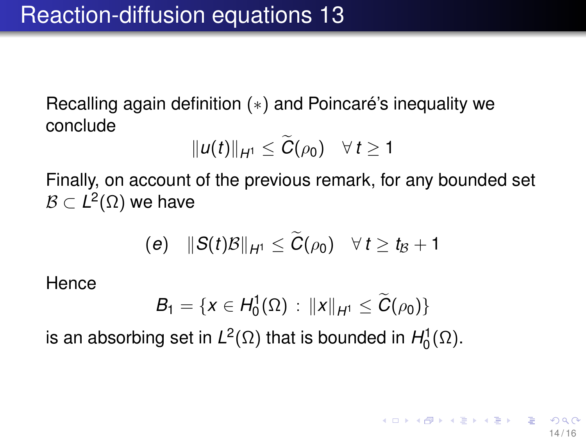Recalling again definition (∗) and Poincaré's inequality we conclude

$$
||u(t)||_{H^1}\leq \widetilde{C}(\rho_0)\quad \forall\, t\geq 1
$$

Finally, on account of the previous remark, for any bounded set  $\mathcal{B}\subset L^2(\Omega)$  we have

$$
(e) \quad ||S(t)B||_{H^1} \leq \widetilde{C}(\rho_0) \quad \forall t \geq t_B + 1
$$

**Hence** 

$$
B_1 = \{x \in H_0^1(\Omega) : ||x||_{H^1} \le \widetilde{C}(\rho_0)\}
$$

14 / 16

イロトメ 御 トメ 老 トメ 老 トー 老

is an absorbing set in  $L^2(\Omega)$  that is bounded in  $H_0^1(\Omega)$ .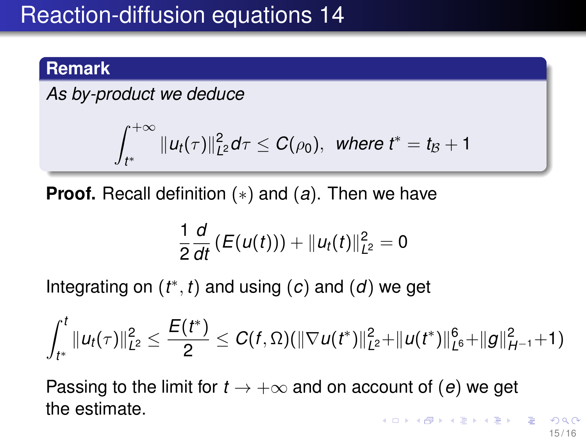### **Remark**

*As by-product we deduce*

$$
\int_{t^*}^{+\infty} \|u_t(\tau)\|_{L^2}^2 d\tau \leq C(\rho_0), \ \ \hbox{where} \ t^* = t_{\mathcal{B}} + 1
$$

**Proof.** Recall definition (∗) and (*a*). Then we have

$$
\frac{1}{2}\frac{d}{dt}\left(E(u(t))\right)+\|u_t(t)\|_{L^2}^2=0
$$

Integrating on  $(t^*, t)$  and using  $(c)$  and  $(d)$  we get

$$
\int_{t^*}^t \|u_t(\tau)\|_{L^2}^2 \leq \frac{E(t^*)}{2} \leq C(f,\Omega)(\|\nabla u(t^*)\|_{L^2}^2 + \|u(t^*)\|_{L^6}^6 + \|g\|_{H^{-1}}^2 + 1)
$$

Passing to the limit for  $t \to +\infty$  and on account of (*e*) we get the estimate.